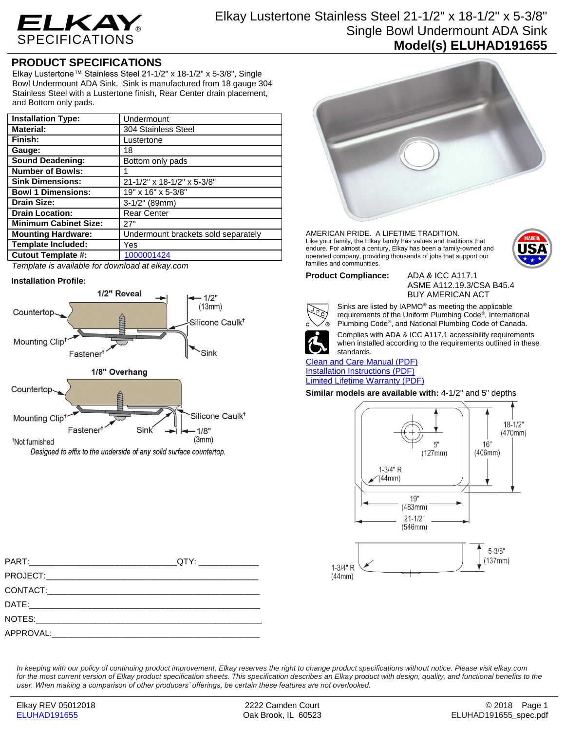

# Elkay Lustertone Stainless Steel 21-1/2" x 18-1/2" x 5-3/8" Single Bowl Undermount ADA Sink **Model(s) ELUHAD191655**

## **PRODUCT SPECIFICATIONS**

Elkay Lustertone™ Stainless Steel 21-1/2" x 18-1/2" x 5-3/8", Single Bowl Undermount ADA Sink. Sink is manufactured from 18 gauge 304 Stainless Steel with a Lustertone finish, Rear Center drain placement, and Bottom only pads.

| Undermount                          |
|-------------------------------------|
| 304 Stainless Steel                 |
| Lustertone                          |
| 18                                  |
| Bottom only pads                    |
|                                     |
| 21-1/2" x 18-1/2" x 5-3/8"          |
| 19" x 16" x 5-3/8"                  |
| $3-1/2"$ (89mm)                     |
| <b>Rear Center</b>                  |
| 27"                                 |
| Undermount brackets sold separately |
| Yes                                 |
| 1000001424                          |
|                                     |

*Template is available for download at elkay.com*

#### **Installation Profile:**





AMERICAN PRIDE. A LIFETIME TRADITION. Like your family, the Elkay family has values and traditions that endure. For almost a century, Elkay has been a family-owned and operated company, providing thousands of jobs that support our families and communities.



ASME A112.19.3/CSA B45.4 BUY AMERICAN ACT



Sinks are listed by IAPMO® as meeting the applicable requirements of the Uniform Plumbing Code® , International Plumbing Code® , and National Plumbing Code of Canada.



Complies with ADA & ICC A117.1 accessibility requirements when installed according to the requirements outlined in these

standards. [Clean and Care Manual \(PDF\)](http://www.elkay.com/wcsstore/lkdocs/care-cleaning-install-warranty-sheets/residential%20and%20commercial%20care%20%20cleaning.pdf) [Installation Instructions \(PDF\)](http://www.elkay.com/wcsstore/lkdocs/care-cleaning-install-warranty-sheets/1000002045.pdf) [Limited Lifetime Warranty](http://www.elkay.com/wcsstore/lkdocs/care-cleaning-install-warranty-sheets/residential%20sinks%20warranty.pdf) (PDF)

#### **Similar models are available with:** 4-1/2" and 5" depths



*In keeping with our policy of continuing product improvement, Elkay reserves the right to change product specifications without notice. Please visit elkay.com*  for the most current version of Elkay product specification sheets. This specification describes an Elkay product with design, quality, and functional benefits to the *user. When making a comparison of other producers' offerings, be certain these features are not overlooked.*